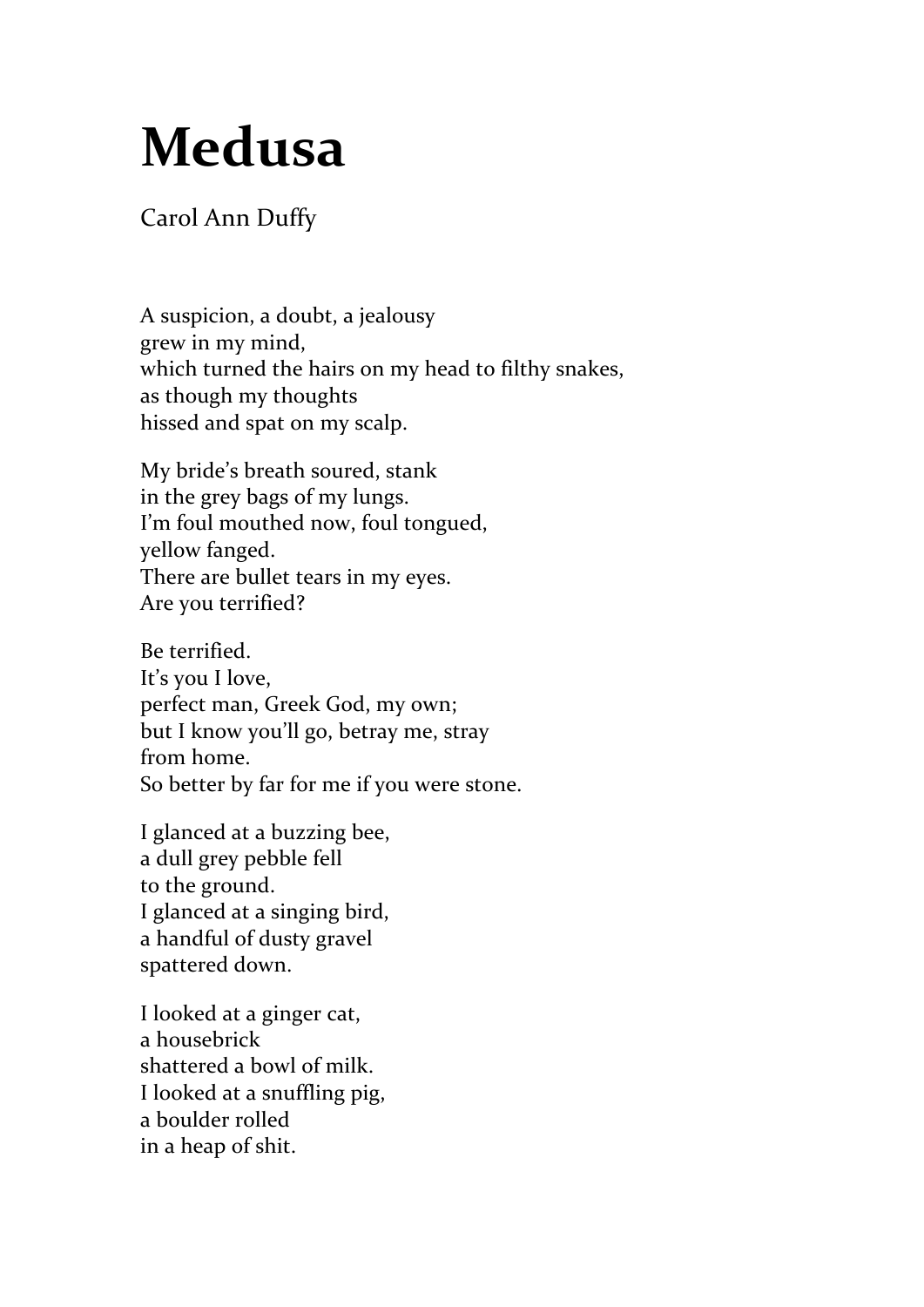## **Medusa**

## Carol Ann Duffy

A suspicion, a doubt, a jealousy grew in my mind, which turned the hairs on my head to filthy snakes, as though my thoughts hissed and spat on my scalp.

My bride's breath soured, stank in the grey bags of my lungs. I'm foul mouthed now, foul tongued, yellow fanged. There are bullet tears in my eyes. Are you terrified?

Be terrified. It's you I love, perfect man, Greek God, my own; but I know you'll go, betray me, stray from home. So better by far for me if you were stone.

I glanced at a buzzing bee, a dull grey pebble fell to the ground. I glanced at a singing bird, a handful of dusty gravel spattered down.

I looked at a ginger cat, a housebrick shattered a bowl of milk. I looked at a snuffling pig, a boulder rolled in a heap of shit.